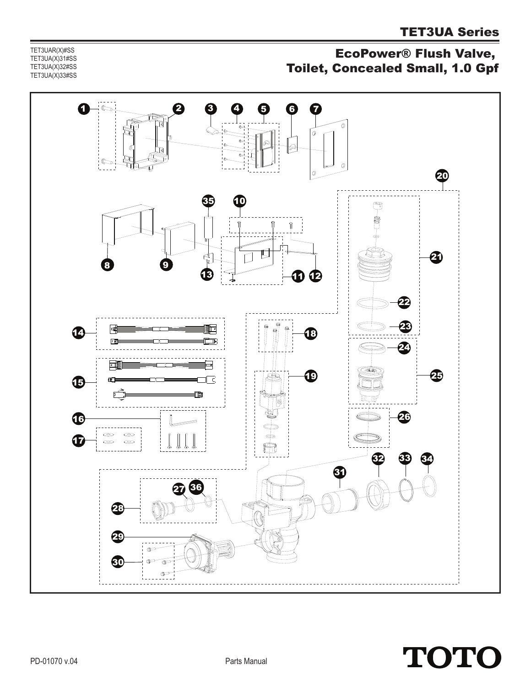TET3UAR(X)#SS TET3UA(X)31#SS TET3UA(X)32#SS TET3UA(X)33#SS

## EcoPower® Flush Valve, Toilet, Concealed Small, 1.0 Gpf



## **TOTO**